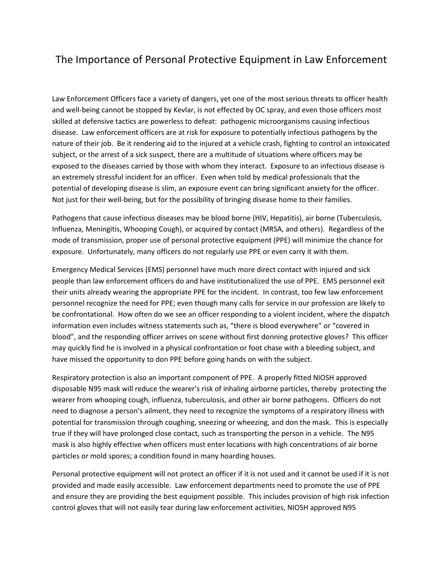## The Importance of Personal Protective Equipment in Law Enforcement

Law Enforcement Officers face a variety of dangers, yet one of the most serious threats to officer health and well-being cannot be stopped by Kevlar, is not effected by OC spray, and even those officers most skilled at defensive tactics are powerless to defeat: pathogenic microorganisms causing infectious disease. Law enforcement officers are at risk for exposure to potentially infectious pathogens by the nature of their job. Be it rendering aid to the injured at a vehicle crash, fighting to control an intoxicated subject, or the arrest of a sick suspect, there are a multitude of situations where officers may be exposed to the diseases carried by those with whom they interact. Exposure to an infectious disease is an extremely stressful incident for an officer. Even when told by medical professionals that the potential of developing disease is slim, an exposure event can bring significant anxiety for the officer. Not just for their well-being, but for the possibility of bringing disease home to their families.

Pathogens that cause infectious diseases may be blood borne (HIV, Hepatitis), air borne (Tuberculosis, Influenza, Meningitis, Whooping Cough), or acquired by contact (MRSA, and others). Regardless of the mode of transmission, proper use of personal protective equipment (PPE) will minimize the chance for exposure. Unfortunately, many officers do not regularly use PPE or even carry it with them.

Emergency Medical Services (EMS) personnel have much more direct contact with injured and sick people than law enforcement officers do and have institutionalized the use of PPE. EMS personnel exit their units already wearing the appropriate PPE for the incident. In contrast, too few law enforcement personnel recognize the need for PPE; even though many calls for service in our profession are likely to be confrontational. How often do we see an officer responding to a violent incident, where the dispatch information even includes witness statements such as, "there is blood everywhere" or "covered in blood", and the responding officer arrives on scene without first donning protective gloves? This officer may quickly find he is involved in a physical confrontation or foot chase with a bleeding subject, and have missed the opportunity to don PPE before going hands on with the subject.

Respiratory protection is also an important component of PPE. A properly fitted NIOSH approved disposable N95 mask will reduce the wearer's risk of inhaling airborne particles, thereby protecting the wearer from whooping cough, influenza, tuberculosis, and other air borne pathogens. Officers do not need to diagnose a person's ailment, they need to recognize the symptoms of a respiratory illness with potential for transmission through coughing, sneezing or wheezing, and don the mask. This is especially true if they will have prolonged close contact, such as transporting the person in a vehicle. The N95 mask is also highly effective when officers must enter locations with high concentrations of air borne particles or mold spores; a condition found in many hoarding houses.

Personal protective equipment will not protect an officer if it is not used and it cannot be used if it is not provided and made easily accessible. Law enforcement departments need to promote the use of PPE and ensure they are providing the best equipment possible. This includes provision of high risk infection control gloves that will not easily tear during law enforcement activities, NIOSH approved N95